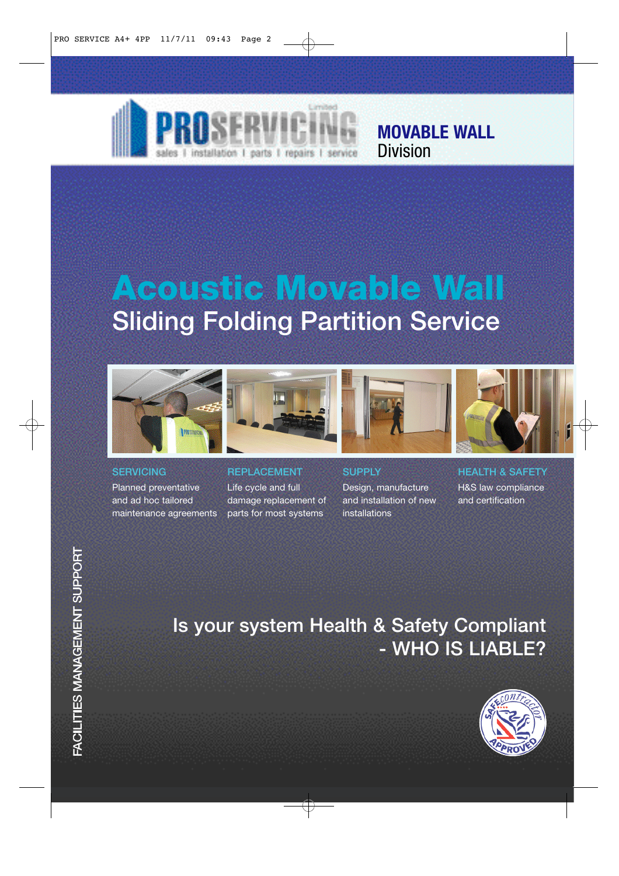

**MOVABLE WALL** Division

# Acoustic Movable Wall Sliding Folding Partition Service



**SERVICING** 

Planned preventative and ad hoc tailored maintenance agreements



Life cycle and full damage replacement of parts for most systems





**SUPPLY** 

Design, manufacture and installation of new installations

HEALTH & SAFETY H&S law compliance and certification

# Is your system Health & Safety Compliant - WHO IS LIABLE?

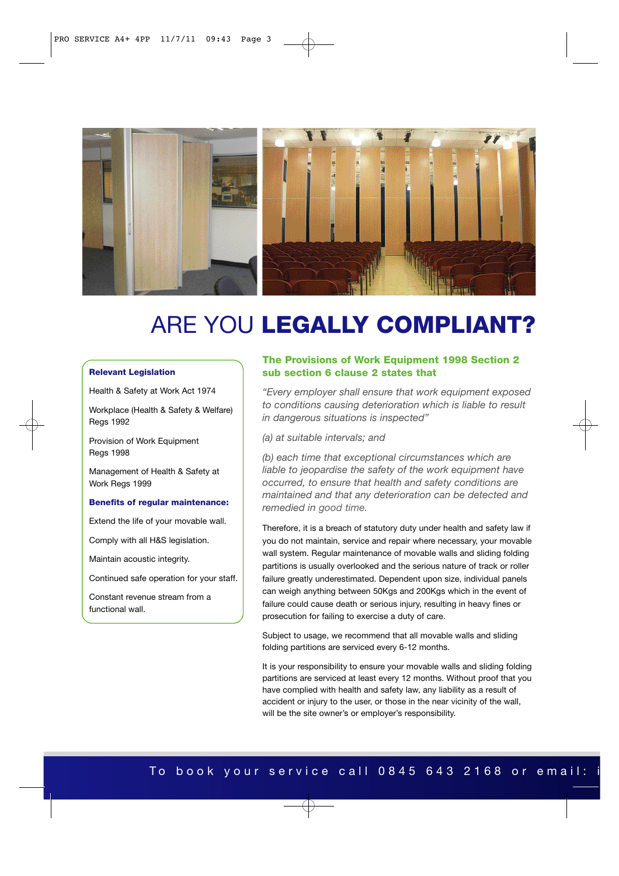

# ARE YOU LEGALLY COMPLIANT?

#### Relevant Legislation

Health & Safety at Work Act 1974

Workplace (Health & Safety & Welfare) Regs 1992

Provision of Work Equipment Regs 1998

Management of Health & Safety at Work Reas 1999

#### Benefits of regular maintenance:

Extend the life of your movable wall.

Comply with all H&S legislation.

Maintain acoustic integrity.

Continued safe operation for your staff.

Constant revenue stream from a functional wall.

#### The Provisions of Work Equipment 1998 Section 2 sub section 6 clause 2 states that

*"Every employer shall ensure that work equipment exposed to conditions causing deterioration which is liable to result in dangerous situations is inspected"*

*(a) at suitable intervals; and*

*(b) each time that exceptional circumstances which are liable to jeopardise the safety of the work equipment have occurred, to ensure that health and safety conditions are maintained and that any deterioration can be detected and remedied in good time.*

Therefore, it is a breach of statutory duty under health and safety law if you do not maintain, service and repair where necessary, your movable wall system. Regular maintenance of movable walls and sliding folding partitions is usually overlooked and the serious nature of track or roller failure greatly underestimated. Dependent upon size, individual panels can weigh anything between 50Kgs and 200Kgs which in the event of failure could cause death or serious injury, resulting in heavy fines or prosecution for failing to exercise a duty of care.

Subject to usage, we recommend that all movable walls and sliding folding partitions are serviced every 6-12 months.

It is your responsibility to ensure your movable walls and sliding folding partitions are serviced at least every 12 months. Without proof that you have complied with health and safety law, any liability as a result of accident or injury to the user, or those in the near vicinity of the wall, will be the site owner's or employer's responsibility.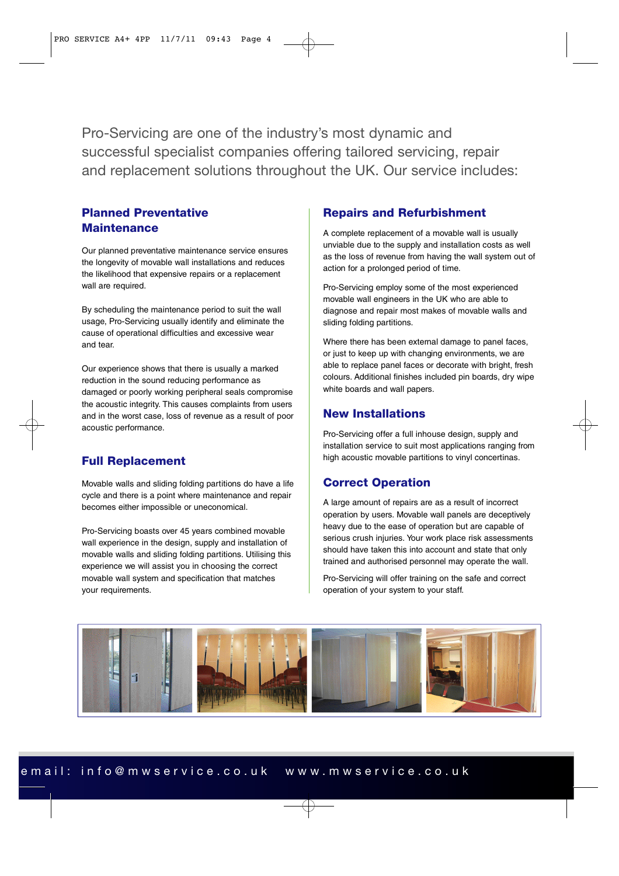Pro-Servicing are one of the industry's most dynamic and successful specialist companies offering tailored servicing, repair and replacement solutions throughout the UK. Our service includes:

#### Planned Preventative **Maintenance**

Our planned preventative maintenance service ensures the longevity of movable wall installations and reduces the likelihood that expensive repairs or a replacement wall are required.

By scheduling the maintenance period to suit the wall usage, Pro-Servicing usually identify and eliminate the cause of operational difficulties and excessive wear and tear.

Our experience shows that there is usually a marked reduction in the sound reducing performance as damaged or poorly working peripheral seals compromise the acoustic integrity. This causes complaints from users and in the worst case, loss of revenue as a result of poor acoustic performance.

#### Full Replacement

Movable walls and sliding folding partitions do have a life cycle and there is a point where maintenance and repair becomes either impossible or uneconomical.

Pro-Servicing boasts over 45 years combined movable wall experience in the design, supply and installation of movable walls and sliding folding partitions. Utilising this experience we will assist you in choosing the correct movable wall system and specification that matches your requirements.

### Repairs and Refurbishment

A complete replacement of a movable wall is usually unviable due to the supply and installation costs as well as the loss of revenue from having the wall system out of action for a prolonged period of time.

Pro-Servicing employ some of the most experienced movable wall engineers in the UK who are able to diagnose and repair most makes of movable walls and sliding folding partitions.

Where there has been external damage to panel faces, or just to keep up with changing environments, we are able to replace panel faces or decorate with bright, fresh colours. Additional finishes included pin boards, dry wipe white boards and wall papers.

### New Installations

Pro-Servicing offer a full inhouse design, supply and installation service to suit most applications ranging from high acoustic movable partitions to vinyl concertinas.

### Correct Operation

A large amount of repairs are as a result of incorrect operation by users. Movable wall panels are deceptively heavy due to the ease of operation but are capable of serious crush injuries. Your work place risk assessments should have taken this into account and state that only trained and authorised personnel may operate the wall.

Pro-Servicing will offer training on the safe and correct operation of your system to your staff.